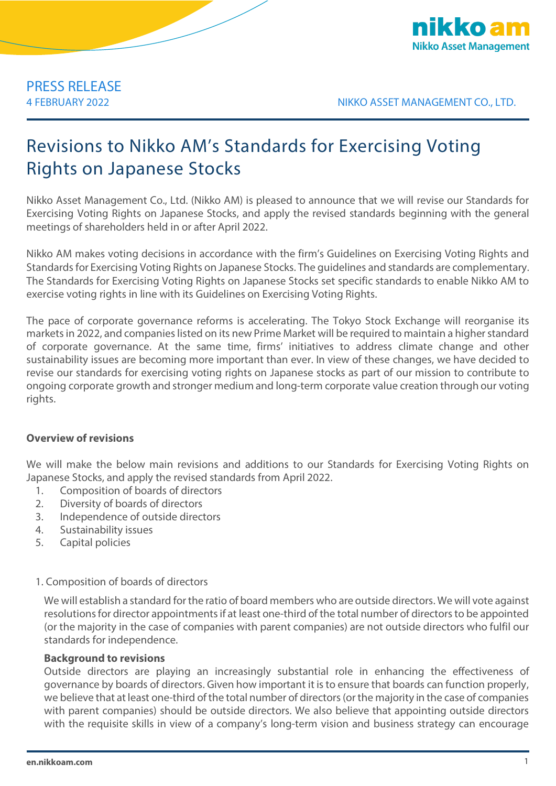

4 FEBRUARY 2022 NIKKO ASSET MANAGEMENT CO., LTD.

# Revisions to Nikko AM's Standards for Exercising Voting Rights on Japanese Stocks

Nikko Asset Management Co., Ltd. (Nikko AM) is pleased to announce that we will revise our Standards for Exercising Voting Rights on Japanese Stocks, and apply the revised standards beginning with the general meetings of shareholders held in or after April 2022.

Nikko AM makes voting decisions in accordance with the firm's Guidelines on Exercising Voting Rights and Standards for Exercising Voting Rights on Japanese Stocks. The guidelines and standards are complementary. The Standards for Exercising Voting Rights on Japanese Stocks set specific standards to enable Nikko AM to exercise voting rights in line with its Guidelines on Exercising Voting Rights.

The pace of corporate governance reforms is accelerating. The Tokyo Stock Exchange will reorganise its markets in 2022, and companies listed on its new Prime Market will be required to maintain a higher standard of corporate governance. At the same time, firms' initiatives to address climate change and other sustainability issues are becoming more important than ever. In view of these changes, we have decided to revise our standards for exercising voting rights on Japanese stocks as part of our mission to contribute to ongoing corporate growth and stronger medium and long-term corporate value creation through our voting rights.

# **Overview of revisions**

We will make the below main revisions and additions to our Standards for Exercising Voting Rights on Japanese Stocks, and apply the revised standards from April 2022.

- 1. Composition of boards of directors
- 2. Diversity of boards of directors
- 3. Independence of outside directors
- 4. Sustainability issues
- 5. Capital policies
- 1. Composition of boards of directors

We will establish a standard for the ratio of board members who are outside directors. We will vote against resolutions for director appointments if at least one-third of the total number of directors to be appointed (or the majority in the case of companies with parent companies) are not outside directors who fulfil our standards for independence.

# **Background to revisions**

Outside directors are playing an increasingly substantial role in enhancing the effectiveness of governance by boards of directors. Given how important it is to ensure that boards can function properly, we believe that at least one-third of the total number of directors (or the majority in the case of companies with parent companies) should be outside directors. We also believe that appointing outside directors with the requisite skills in view of a company's long-term vision and business strategy can encourage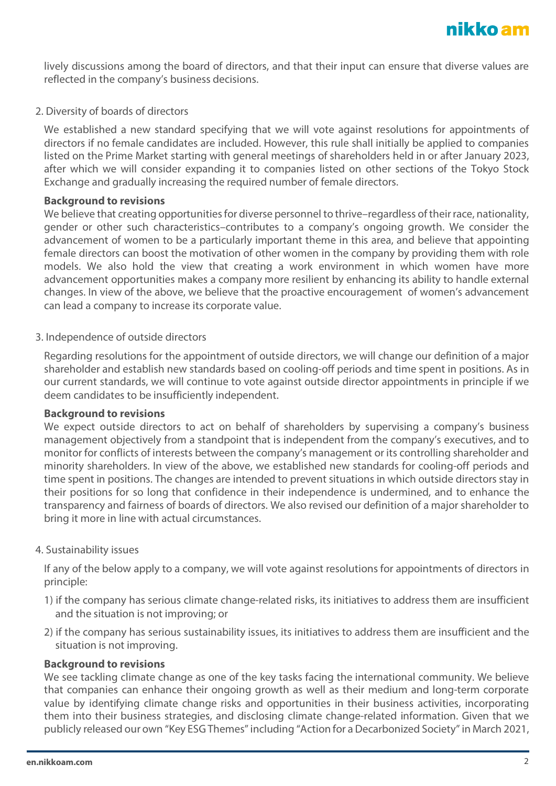lively discussions among the board of directors, and that their input can ensure that diverse values are reflected in the company's business decisions.

### 2. Diversity of boards of directors

We established a new standard specifying that we will vote against resolutions for appointments of directors if no female candidates are included. However, this rule shall initially be applied to companies listed on the Prime Market starting with general meetings of shareholders held in or after January 2023, after which we will consider expanding it to companies listed on other sections of the Tokyo Stock Exchange and gradually increasing the required number of female directors.

# **Background to revisions**

We believe that creating opportunities for diverse personnel to thrive–regardless of their race, nationality, gender or other such characteristics–contributes to a company's ongoing growth. We consider the advancement of women to be a particularly important theme in this area, and believe that appointing female directors can boost the motivation of other women in the company by providing them with role models. We also hold the view that creating a work environment in which women have more advancement opportunities makes a company more resilient by enhancing its ability to handle external changes. In view of the above, we believe that the proactive encouragement of women's advancement can lead a company to increase its corporate value.

# 3. Independence of outside directors

Regarding resolutions for the appointment of outside directors, we will change our definition of a major shareholder and establish new standards based on cooling-off periods and time spent in positions. As in our current standards, we will continue to vote against outside director appointments in principle if we deem candidates to be insufficiently independent.

### **Background to revisions**

We expect outside directors to act on behalf of shareholders by supervising a company's business management objectively from a standpoint that is independent from the company's executives, and to monitor for conflicts of interests between the company's management or its controlling shareholder and minority shareholders. In view of the above, we established new standards for cooling-off periods and time spent in positions. The changes are intended to prevent situations in which outside directors stay in their positions for so long that confidence in their independence is undermined, and to enhance the transparency and fairness of boards of directors. We also revised our definition of a major shareholder to bring it more in line with actual circumstances.

# 4. Sustainability issues

If any of the below apply to a company, we will vote against resolutions for appointments of directors in principle:

- 1) if the company has serious climate change-related risks, its initiatives to address them are insufficient and the situation is not improving; or
- 2) if the company has serious sustainability issues, its initiatives to address them are insufficient and the situation is not improving.

#### **Background to revisions**

We see tackling climate change as one of the key tasks facing the international community. We believe that companies can enhance their ongoing growth as well as their medium and long-term corporate value by identifying climate change risks and opportunities in their business activities, incorporating them into their business strategies, and disclosing climate change-related information. Given that we publicly released our own "Key ESG Themes" including "Action for a Decarbonized Society" in March 2021,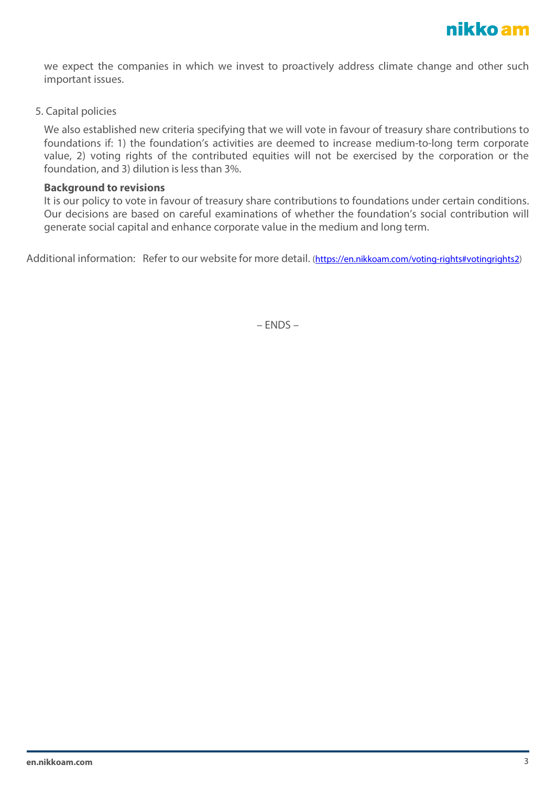we expect the companies in which we invest to proactively address climate change and other such important issues.

5. Capital policies

We also established new criteria specifying that we will vote in favour of treasury share contributions to foundations if: 1) the foundation's activities are deemed to increase medium-to-long term corporate value, 2) voting rights of the contributed equities will not be exercised by the corporation or the foundation, and 3) dilution is less than 3%.

### **Background to revisions**

It is our policy to vote in favour of treasury share contributions to foundations under certain conditions. Our decisions are based on careful examinations of whether the foundation's social contribution will generate social capital and enhance corporate value in the medium and long term.

Additional information: Refer to our website for more detail. [\(https://en.nikkoam.com/voting-rights#votingrights2\)](https://en.nikkoam.com/voting-rights#votingrights2)

– ENDS –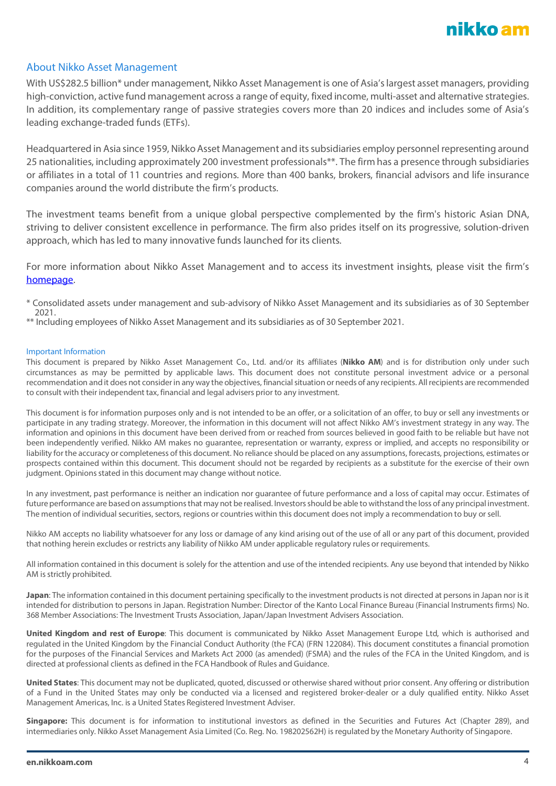

#### About Nikko Asset Management

With US\$282.5 billion\* under management, Nikko Asset Management is one of Asia's largest asset managers, providing high-conviction, active fund management across a range of equity, fixed income, multi-asset and alternative strategies. In addition, its complementary range of passive strategies covers more than 20 indices and includes some of Asia's leading exchange-traded funds (ETFs).

Headquartered in Asia since 1959, Nikko Asset Management and its subsidiaries employ personnel representing around 25 nationalities, including approximately 200 investment professionals\*\*. The firm has a presence through subsidiaries or affiliates in a total of 11 countries and regions. More than 400 banks, brokers, financial advisors and life insurance companies around the world distribute the firm's products.

The investment teams benefit from a unique global perspective complemented by the firm's historic Asian DNA, striving to deliver consistent excellence in performance. The firm also prides itself on its progressive, solution-driven approach, which has led to many innovative funds launched for its clients.

For more information about Nikko Asset Management and to access its investment insights, please visit the firm's [homepage.](https://en.nikkoam.com/)

\* Consolidated assets under management and sub-advisory of Nikko Asset Management and its subsidiaries as of 30 September 2021.

\*\* Including employees of Nikko Asset Management and its subsidiaries as of 30 September 2021.

#### Important Information

This document is prepared by Nikko Asset Management Co., Ltd. and/or its affiliates (**Nikko AM**) and is for distribution only under such circumstances as may be permitted by applicable laws. This document does not constitute personal investment advice or a personal recommendation and it does not consider in any way the objectives, financial situation or needs of any recipients. All recipients are recommended to consult with their independent tax, financial and legal advisers prior to any investment.

This document is for information purposes only and is not intended to be an offer, or a solicitation of an offer, to buy or sell any investments or participate in any trading strategy. Moreover, the information in this document will not affect Nikko AM's investment strategy in any way. The information and opinions in this document have been derived from or reached from sources believed in good faith to be reliable but have not been independently verified. Nikko AM makes no guarantee, representation or warranty, express or implied, and accepts no responsibility or liability for the accuracy or completeness of this document. No reliance should be placed on any assumptions, forecasts, projections, estimates or prospects contained within this document. This document should not be regarded by recipients as a substitute for the exercise of their own judgment. Opinions stated in this document may change without notice.

In any investment, past performance is neither an indication nor guarantee of future performance and a loss of capital may occur. Estimates of future performance are based on assumptions that may not be realised. Investors should be able to withstand the loss of any principal investment. The mention of individual securities, sectors, regions or countries within this document does not imply a recommendation to buy or sell.

Nikko AM accepts no liability whatsoever for any loss or damage of any kind arising out of the use of all or any part of this document, provided that nothing herein excludes or restricts any liability of Nikko AM under applicable regulatory rules or requirements.

All information contained in this document is solely for the attention and use of the intended recipients. Any use beyond that intended by Nikko AM is strictly prohibited.

**Japan**: The information contained in this document pertaining specifically to the investment products is not directed at persons in Japan nor is it intended for distribution to persons in Japan. Registration Number: Director of the Kanto Local Finance Bureau (Financial Instruments firms) No. 368 Member Associations: The Investment Trusts Association, Japan/Japan Investment Advisers Association.

**United Kingdom and rest of Europe**: This document is communicated by Nikko Asset Management Europe Ltd, which is authorised and regulated in the United Kingdom by the Financial Conduct Authority (the FCA) (FRN 122084). This document constitutes a financial promotion for the purposes of the Financial Services and Markets Act 2000 (as amended) (FSMA) and the rules of the FCA in the United Kingdom, and is directed at professional clients as defined in the FCA Handbook of Rules and Guidance.

**United States**: This document may not be duplicated, quoted, discussed or otherwise shared without prior consent. Any offering or distribution of a Fund in the United States may only be conducted via a licensed and registered broker-dealer or a duly qualified entity. Nikko Asset Management Americas, Inc. is a United States Registered Investment Adviser.

**Singapore:** This document is for information to institutional investors as defined in the Securities and Futures Act (Chapter 289), and intermediaries only. Nikko Asset Management Asia Limited (Co. Reg. No. 198202562H) is regulated by the Monetary Authority of Singapore.